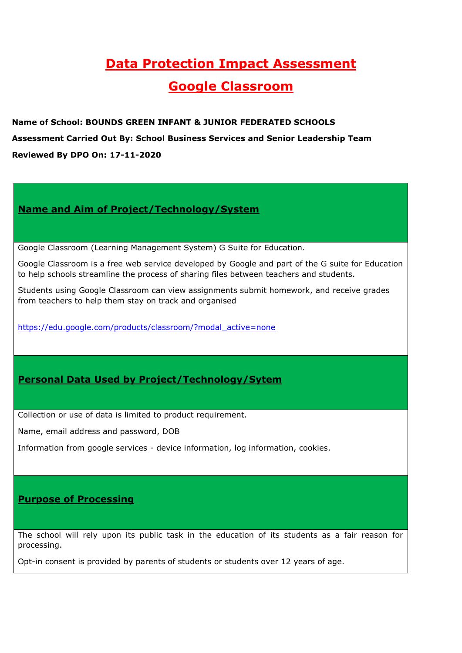# **Data Protection Impact Assessment Google Classroom**

**Name of School: BOUNDS GREEN INFANT & JUNIOR FEDERATED SCHOOLS Assessment Carried Out By: School Business Services and Senior Leadership Team Reviewed By DPO On: 17-11-2020**

## **Name and Aim of Project/Technology/System**

Google Classroom (Learning Management System) G Suite for Education.

Google Classroom is a free web service developed by Google and part of the G suite for Education to help schools streamline the process of sharing files between teachers and students.

Students using Google Classroom can view assignments submit homework, and receive grades from teachers to help them stay on track and organised

[https://edu.google.com/products/classroom/?modal\\_active=none](https://edu.google.com/products/classroom/?modal_active=none)

## **Personal Data Used by Project/Technology/Sytem**

Collection or use of data is limited to product requirement.

Name, email address and password, DOB

Information from google services - device information, log information, cookies.

## **Purpose of Processing**

The school will rely upon its public task in the education of its students as a fair reason for processing.

Opt-in consent is provided by parents of students or students over 12 years of age.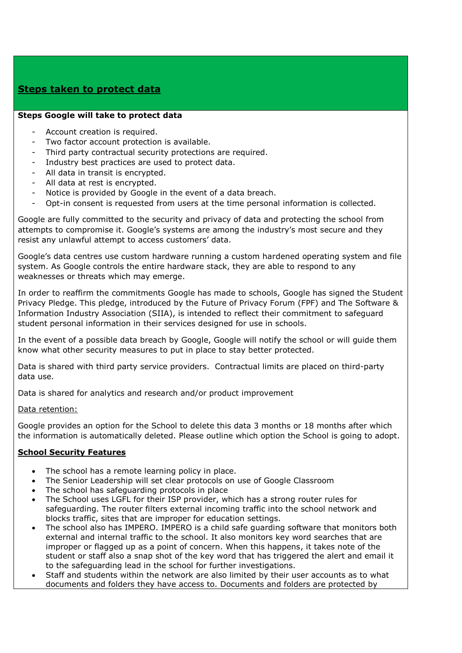## **Steps taken to protect data**

#### **Steps Google will take to protect data**

- Account creation is required.
- Two factor account protection is available.
- Third party contractual security protections are required.
- Industry best practices are used to protect data.
- All data in transit is encrypted.
- All data at rest is encrypted.
- Notice is provided by Google in the event of a data breach.
- Opt-in consent is requested from users at the time personal information is collected.

Google are fully committed to the security and privacy of data and protecting the school from attempts to compromise it. Google's systems are among the industry's most secure and they resist any unlawful attempt to access customers' data.

Google's data centres use custom hardware running a custom hardened operating system and file system. As Google controls the entire hardware stack, they are able to respond to any weaknesses or threats which may emerge.

In order to reaffirm the commitments Google has made to schools, Google has signed the Student Privacy Pledge. This pledge, introduced by the Future of Privacy Forum (FPF) and The Software & Information Industry Association (SIIA), is intended to reflect their commitment to safeguard student personal information in their services designed for use in schools.

In the event of a possible data breach by Google, Google will notify the school or will guide them know what other security measures to put in place to stay better protected.

Data is shared with third party service providers. Contractual limits are placed on third-party data use.

Data is shared for analytics and research and/or product improvement

Data retention:

Google provides an option for the School to delete this data 3 months or 18 months after which the information is automatically deleted. Please outline which option the School is going to adopt.

### **School Security Features**

- The school has a remote learning policy in place.
- The Senior Leadership will set clear protocols on use of Google Classroom
- The school has safeguarding protocols in place
- The School uses LGFL for their ISP provider, which has a strong router rules for safeguarding. The router filters external incoming traffic into the school network and blocks traffic, sites that are improper for education settings.
- The school also has IMPERO. IMPERO is a child safe guarding software that monitors both external and internal traffic to the school. It also monitors key word searches that are improper or flagged up as a point of concern. When this happens, it takes note of the student or staff also a snap shot of the key word that has triggered the alert and email it to the safeguarding lead in the school for further investigations.
- Staff and students within the network are also limited by their user accounts as to what documents and folders they have access to. Documents and folders are protected by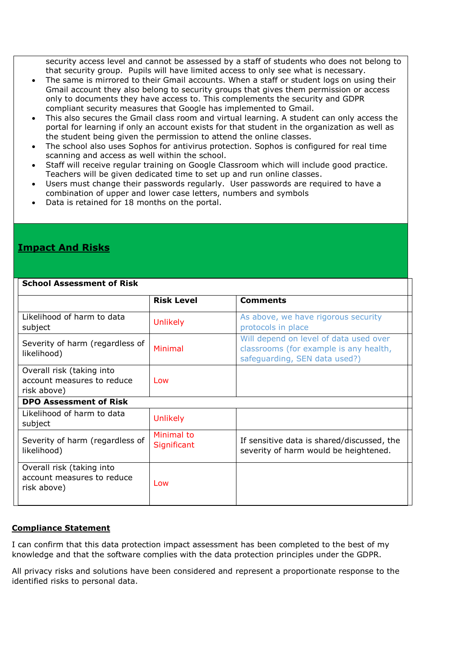security access level and cannot be assessed by a staff of students who does not belong to that security group. Pupils will have limited access to only see what is necessary.

- The same is mirrored to their Gmail accounts. When a staff or student logs on using their Gmail account they also belong to security groups that gives them permission or access only to documents they have access to. This complements the security and GDPR compliant security measures that Google has implemented to Gmail.
- This also secures the Gmail class room and virtual learning. A student can only access the portal for learning if only an account exists for that student in the organization as well as the student being given the permission to attend the online classes.
- The school also uses Sophos for antivirus protection. Sophos is configured for real time scanning and access as well within the school.
- Staff will receive regular training on Google Classroom which will include good practice. Teachers will be given dedicated time to set up and run online classes.
- Users must change their passwords regularly. User passwords are required to have a combination of upper and lower case letters, numbers and symbols
- Data is retained for 18 months on the portal.

## **Impact And Risks**

#### **School Assessment of Risk**

|                                                                        | <b>Risk Level</b>         | <b>Comments</b>                                                                                                   |
|------------------------------------------------------------------------|---------------------------|-------------------------------------------------------------------------------------------------------------------|
|                                                                        |                           |                                                                                                                   |
| Likelihood of harm to data<br>subject                                  | <b>Unlikely</b>           | As above, we have rigorous security<br>protocols in place                                                         |
| Severity of harm (regardless of<br>likelihood)                         | Minimal                   | Will depend on level of data used over<br>classrooms (for example is any health,<br>safeguarding, SEN data used?) |
| Overall risk (taking into<br>account measures to reduce<br>risk above) | Low                       |                                                                                                                   |
| <b>DPO Assessment of Risk</b>                                          |                           |                                                                                                                   |
| Likelihood of harm to data<br>subject                                  | <b>Unlikely</b>           |                                                                                                                   |
| Severity of harm (regardless of<br>likelihood)                         | Minimal to<br>Significant | If sensitive data is shared/discussed, the<br>severity of harm would be heightened.                               |
| Overall risk (taking into<br>account measures to reduce<br>risk above) | Low                       |                                                                                                                   |

### **Compliance Statement**

I can confirm that this data protection impact assessment has been completed to the best of my knowledge and that the software complies with the data protection principles under the GDPR.

All privacy risks and solutions have been considered and represent a proportionate response to the identified risks to personal data.